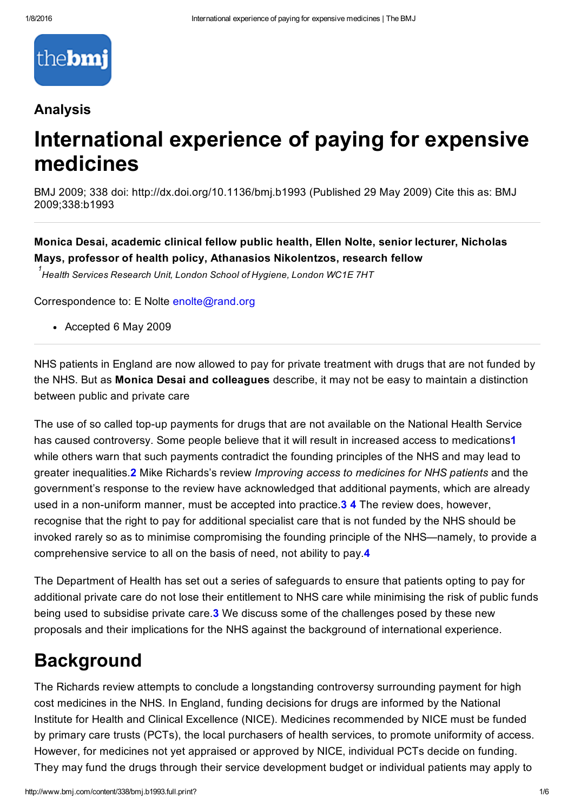

#### Analysis

# International experience of paying for expensive medicines

BMJ 2009; 338 doi: http://dx.doi.org/10.1136/bmj.b1993 (Published 29 May 2009) Cite this as: BMJ 2009;338:b1993

Monica Desai, academic clinical fellow public health, Ellen Nolte, senior lecturer, Nicholas Mays, professor of health policy, Athanasios Nikolentzos, research fellow

*Health Services Research Unit, London School of Hygiene, London WC1E 7HT 1*

Correspondence to: E Nolte [enolte@rand.org](mailto:enolte@rand.org)

Accepted 6 May 2009

NHS patients in England are now allowed to pay for private treatment with drugs that are not funded by the NHS. But as Monica Desai and colleagues describe, it may not be easy to maintain a distinction between public and private care

The use of so called top-up payments for drugs that are not available on the National Health Service has caused controversy. Some people believe that it will result in increased access to medications1 while others warn that such payments contradict the founding principles of the NHS and may lead to greater inequalities.2 Mike Richards's review *Improving access to medicines for NHS patients* and the government's response to the review have acknowledged that additional payments, which are already used in a non-uniform manner, must be accepted into practice. 34 The review does, however, recognise that the right to pay for additional specialist care that is not funded by the NHS should be invoked rarely so as to minimise compromising the founding principle of the NHS—namely, to provide a comprehensive service to all on the basis of need, not ability to pay.4

The Department of Health has set out a series of safeguards to ensure that patients opting to pay for additional private care do not lose their entitlement to NHS care while minimising the risk of public funds being used to subsidise private care.3 We discuss some of the challenges posed by these new proposals and their implications for the NHS against the background of international experience.

#### **Background**

The Richards review attempts to conclude a longstanding controversy surrounding payment for high cost medicines in the NHS. In England, funding decisions for drugs are informed by the National Institute for Health and Clinical Excellence (NICE). Medicines recommended by NICE must be funded by primary care trusts (PCTs), the local purchasers of health services, to promote uniformity of access. However, for medicines not yet appraised or approved by NICE, individual PCTs decide on funding. They may fund the drugs through their service development budget or individual patients may apply to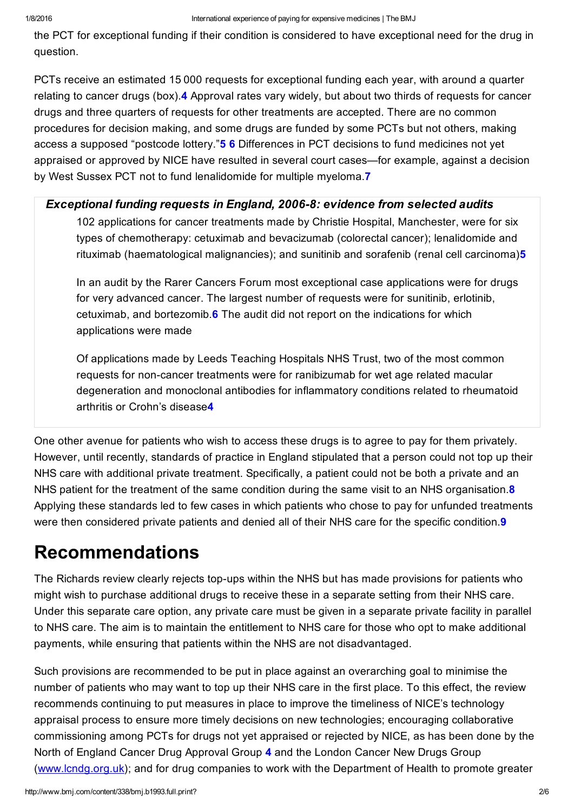the PCT for exceptional funding if their condition is considered to have exceptional need for the drug in question.

PCTs receive an estimated 15 000 requests for exceptional funding each year, with around a quarter relating to cancer drugs (box).4 Approval rates vary widely, but about two thirds of requests for cancer drugs and three quarters of requests for other treatments are accepted. There are no common procedures for decision making, and some drugs are funded by some PCTs but not others, making access a supposed "postcode lottery."**5 6** Differences in PCT decisions to fund medicines not yet appraised or approved by NICE have resulted in several court cases—for example, against a decision by West Sussex PCT not to fund lenalidomide for multiple myeloma.7

#### *Exceptional funding requests in England, 2006-8: evidence from selected audits*

102 applications for cancer treatments made by Christie Hospital, Manchester, were for six types of chemotherapy: cetuximab and bevacizumab (colorectal cancer); lenalidomide and rituximab (haematological malignancies); and sunitinib and sorafenib (renal cell carcinoma)5

In an audit by the Rarer Cancers Forum most exceptional case applications were for drugs for very advanced cancer. The largest number of requests were for sunitinib, erlotinib, cetuximab, and bortezomib.6 The audit did not report on the indications for which applications were made

Of applications made by Leeds Teaching Hospitals NHS Trust, two of the most common requests for non-cancer treatments were for ranibizumab for wet age related macular degeneration and monoclonal antibodies for inflammatory conditions related to rheumatoid arthritis or Crohn's disease4

One other avenue for patients who wish to access these drugs is to agree to pay for them privately. However, until recently, standards of practice in England stipulated that a person could not top up their NHS care with additional private treatment. Specifically, a patient could not be both a private and an NHS patient for the treatment of the same condition during the same visit to an NHS organisation.<sup>8</sup> Applying these standards led to few cases in which patients who chose to pay for unfunded treatments were then considered private patients and denied all of their NHS care for the specific condition.<sup>9</sup>

### Recommendations

The Richards review clearly rejects top-ups within the NHS but has made provisions for patients who might wish to purchase additional drugs to receive these in a separate setting from their NHS care. Under this separate care option, any private care must be given in a separate private facility in parallel to NHS care. The aim is to maintain the entitlement to NHS care for those who opt to make additional payments, while ensuring that patients within the NHS are not disadvantaged.

Such provisions are recommended to be put in place against an overarching goal to minimise the number of patients who may want to top up their NHS care in the first place. To this effect, the review recommends continuing to put measures in place to improve the timeliness of NICE's technology appraisal process to ensure more timely decisions on new technologies; encouraging collaborative commissioning among PCTs for drugs not yet appraised or rejected by NICE, as has been done by the North of England Cancer Drug Approval Group 4 and the London Cancer New Drugs Group [\(www.lcndg.org.uk](http://www.lcndg.org.uk/)); and for drug companies to work with the Department of Health to promote greater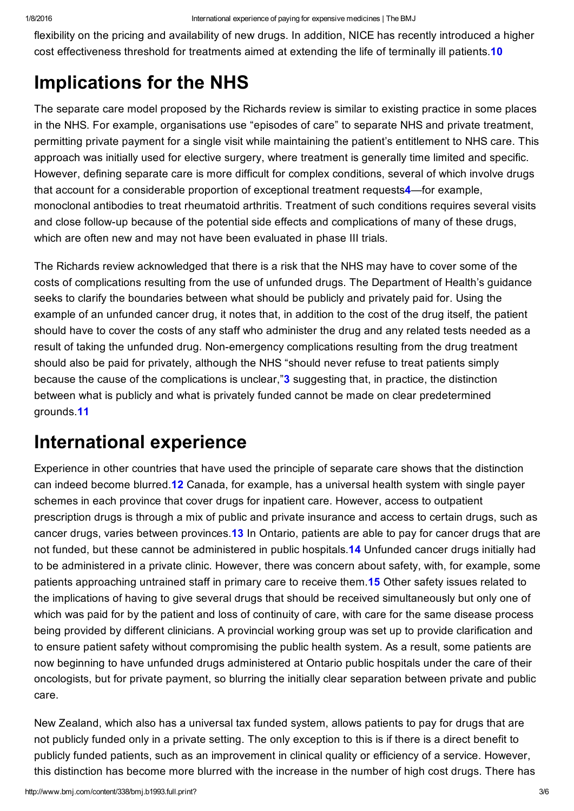flexibility on the pricing and availability of new drugs. In addition, NICE has recently introduced a higher cost effectiveness threshold for treatments aimed at extending the life of terminally ill patients.10

## Implications for the NHS

The separate care model proposed by the Richards review is similar to existing practice in some places in the NHS. For example, organisations use "episodes of care" to separate NHS and private treatment, permitting private payment for a single visit while maintaining the patient's entitlement to NHS care. This approach was initially used for elective surgery, where treatment is generally time limited and specific. However, defining separate care is more difficult for complex conditions, several of which involve drugs that account for a considerable proportion of exceptional treatment requests4—for example, monoclonal antibodies to treat rheumatoid arthritis. Treatment of such conditions requires several visits and close follow-up because of the potential side effects and complications of many of these drugs, which are often new and may not have been evaluated in phase III trials.

The Richards review acknowledged that there is a risk that the NHS may have to cover some of the costs of complications resulting from the use of unfunded drugs. The Department of Health's guidance seeks to clarify the boundaries between what should be publicly and privately paid for. Using the example of an unfunded cancer drug, it notes that, in addition to the cost of the drug itself, the patient should have to cover the costs of any staff who administer the drug and any related tests needed as a result of taking the unfunded drug. Non-emergency complications resulting from the drug treatment should also be paid for privately, although the NHS "should never refuse to treat patients simply because the cause of the complications is unclear,"3 suggesting that, in practice, the distinction between what is publicly and what is privately funded cannot be made on clear predetermined grounds.11

## International experience

Experience in other countries that have used the principle of separate care shows that the distinction can indeed become blurred.12 Canada, for example, has a universal health system with single payer schemes in each province that cover drugs for inpatient care. However, access to outpatient prescription drugs is through a mix of public and private insurance and access to certain drugs, such as cancer drugs, varies between provinces.13 In Ontario, patients are able to pay for cancer drugs that are not funded, but these cannot be administered in public hospitals.14 Unfunded cancer drugs initially had to be administered in a private clinic. However, there was concern about safety, with, for example, some patients approaching untrained staff in primary care to receive them.15 Other safety issues related to the implications of having to give several drugs that should be received simultaneously but only one of which was paid for by the patient and loss of continuity of care, with care for the same disease process being provided by different clinicians. A provincial working group was set up to provide clarification and to ensure patient safety without compromising the public health system. As a result, some patients are now beginning to have unfunded drugs administered at Ontario public hospitals under the care of their oncologists, but for private payment, so blurring the initially clear separation between private and public care.

New Zealand, which also has a universal tax funded system, allows patients to pay for drugs that are not publicly funded only in a private setting. The only exception to this is if there is a direct benefit to publicly funded patients, such as an improvement in clinical quality or efficiency of a service. However, this distinction has become more blurred with the increase in the number of high cost drugs. There has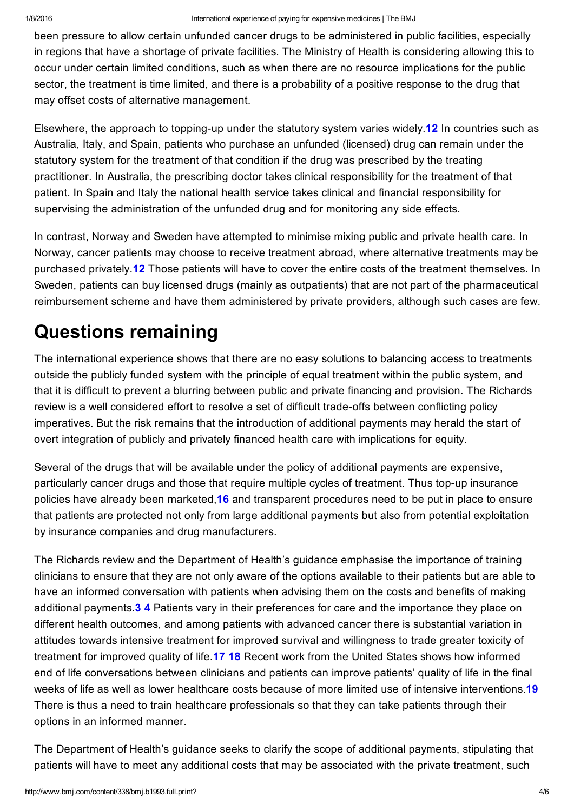been pressure to allow certain unfunded cancer drugs to be administered in public facilities, especially in regions that have a shortage of private facilities. The Ministry of Health is considering allowing this to occur under certain limited conditions, such as when there are no resource implications for the public sector, the treatment is time limited, and there is a probability of a positive response to the drug that may offset costs of alternative management.

Elsewhere, the approach to topping-up under the statutory system varies widely. **12** In countries such as Australia, Italy, and Spain, patients who purchase an unfunded (licensed) drug can remain under the statutory system for the treatment of that condition if the drug was prescribed by the treating practitioner. In Australia, the prescribing doctor takes clinical responsibility for the treatment of that patient. In Spain and Italy the national health service takes clinical and financial responsibility for supervising the administration of the unfunded drug and for monitoring any side effects.

In contrast, Norway and Sweden have attempted to minimise mixing public and private health care. In Norway, cancer patients may choose to receive treatment abroad, where alternative treatments may be purchased privately.<sup>12</sup> Those patients will have to cover the entire costs of the treatment themselves. In Sweden, patients can buy licensed drugs (mainly as outpatients) that are not part of the pharmaceutical reimbursement scheme and have them administered by private providers, although such cases are few.

# Questions remaining

The international experience shows that there are no easy solutions to balancing access to treatments outside the publicly funded system with the principle of equal treatment within the public system, and that it is difficult to prevent a blurring between public and private financing and provision. The Richards review is a well considered effort to resolve a set of difficult trade-offs between conflicting policy imperatives. But the risk remains that the introduction of additional payments may herald the start of overt integration of publicly and privately financed health care with implications for equity.

Several of the drugs that will be available under the policy of additional payments are expensive, particularly cancer drugs and those that require multiple cycles of treatment. Thus top-up insurance policies have already been marketed,16 and transparent procedures need to be put in place to ensure that patients are protected not only from large additional payments but also from potential exploitation by insurance companies and drug manufacturers.

The Richards review and the Department of Health's guidance emphasise the importance of training clinicians to ensure that they are not only aware of the options available to their patients but are able to have an informed conversation with patients when advising them on the costs and benefits of making additional payments.3 4 Patients vary in their preferences for care and the importance they place on different health outcomes, and among patients with advanced cancer there is substantial variation in attitudes towards intensive treatment for improved survival and willingness to trade greater toxicity of treatment for improved quality of life.17 18 Recent work from the United States shows how informed end of life conversations between clinicians and patients can improve patients' quality of life in the final weeks of life as well as lower healthcare costs because of more limited use of intensive interventions.19 There is thus a need to train healthcare professionals so that they can take patients through their options in an informed manner.

The Department of Health's guidance seeks to clarify the scope of additional payments, stipulating that patients will have to meet any additional costs that may be associated with the private treatment, such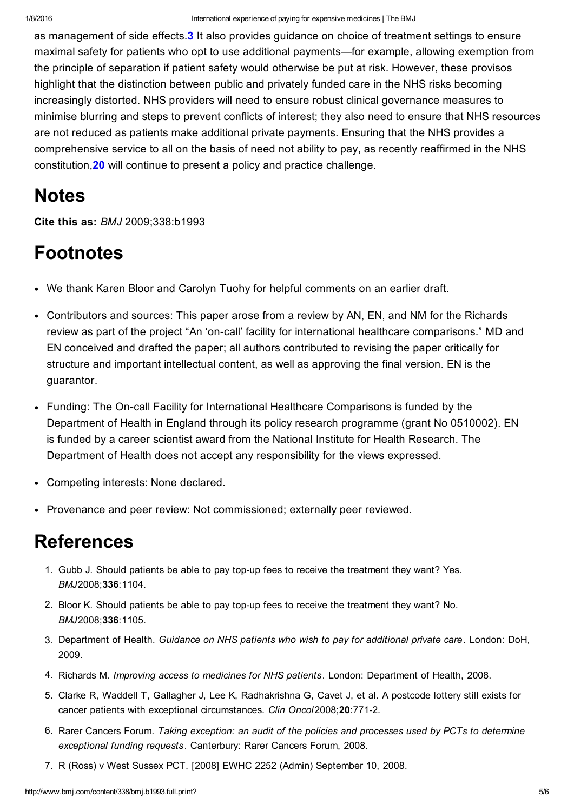as management of side effects.3 It also provides guidance on choice of treatment settings to ensure maximal safety for patients who opt to use additional payments—for example, allowing exemption from the principle of separation if patient safety would otherwise be put at risk. However, these provisos highlight that the distinction between public and privately funded care in the NHS risks becoming increasingly distorted. NHS providers will need to ensure robust clinical governance measures to minimise blurring and steps to prevent conflicts of interest; they also need to ensure that NHS resources are not reduced as patients make additional private payments. Ensuring that the NHS provides a comprehensive service to all on the basis of need not ability to pay, as recently reaffirmed in the NHS constitution,20 will continue to present a policy and practice challenge.

### **Notes**

Cite this as: *BMJ* 2009;338:b1993

## Footnotes

- We thank Karen Bloor and Carolyn Tuohy for helpful comments on an earlier draft.
- Contributors and sources: This paper arose from a review by AN, EN, and NM for the Richards review as part of the project "An 'on-call' facility for international healthcare comparisons." MD and EN conceived and drafted the paper; all authors contributed to revising the paper critically for structure and important intellectual content, as well as approving the final version. EN is the guarantor.
- Funding: The On-call Facility for International Healthcare Comparisons is funded by the Department of Health in England through its policy research programme (grant No 0510002). EN is funded by a career scientist award from the National Institute for Health Research. The Department of Health does not accept any responsibility for the views expressed.
- Competing interests: None declared.
- Provenance and peer review: Not commissioned; externally peer reviewed.

#### **References**

- 1. Gubb J. Should patients be able to pay top-up fees to receive the treatment they want? Yes. *BMJ*2008;336:1104.
- 2. Bloor K. Should patients be able to pay top-up fees to receive the treatment they want? No. *BMJ*2008;336:1105.
- 3. Department of Health. *Guidance on NHS patients who wish to pay for additional private care*. London: DoH, 2009.
- 4. Richards M. *Improving access to medicines for NHS patients*. London: Department of Health, 2008.
- 5. Clarke R, Waddell T, Gallagher J, Lee K, Radhakrishna G, Cavet J, et al. A postcode lottery still exists for cancer patients with exceptional circumstances. *Clin Oncol*2008;20:7712.
- 6. Rarer Cancers Forum. *Taking exception: an audit of the policies and processes used by PCTs to determine exceptional funding requests*. Canterbury: Rarer Cancers Forum, 2008.
- 7. R (Ross) v West Sussex PCT. [2008] EWHC 2252 (Admin) September 10, 2008.